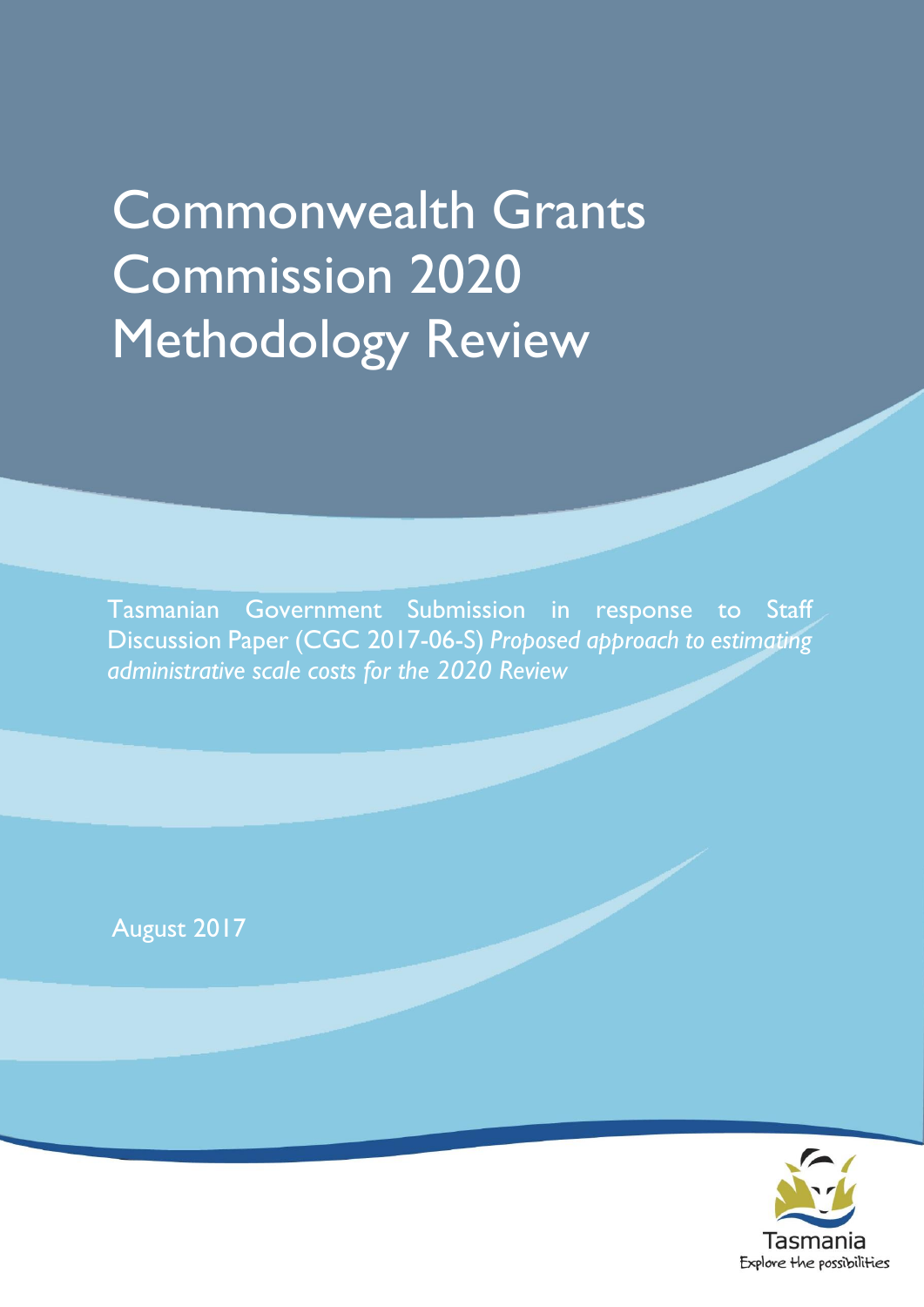# Commonwealth Grants Commission 2020 Methodology Review

Tasmanian Government Submission in response to Staff Discussion Paper (CGC 2017-06-S) *Proposed approach to estimating administrative scale costs for the 2020 Review*

August 2017

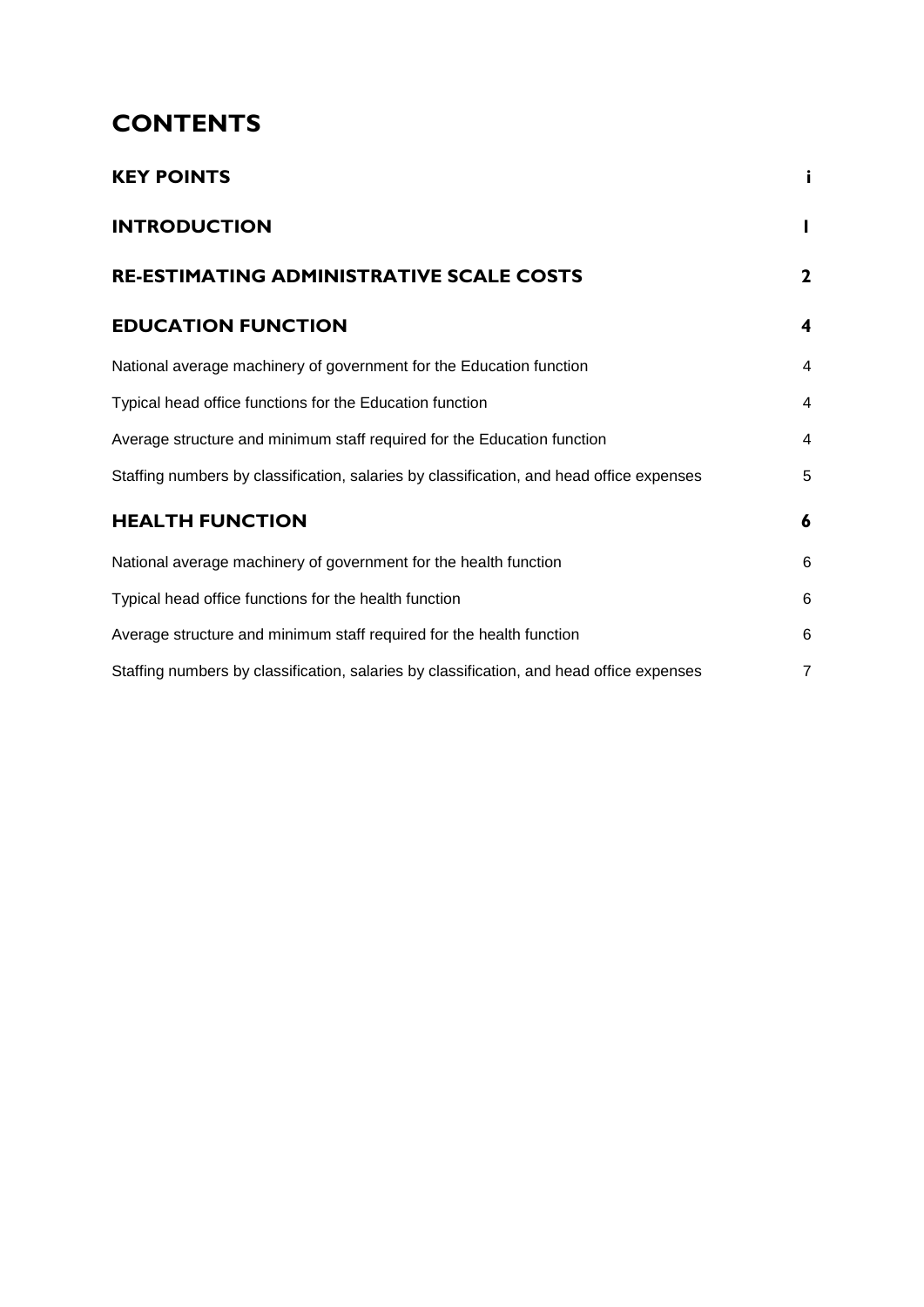# **CONTENTS**

| <b>KEY POINTS</b>                                                                        | i              |
|------------------------------------------------------------------------------------------|----------------|
| <b>INTRODUCTION</b>                                                                      |                |
| RE-ESTIMATING ADMINISTRATIVE SCALE COSTS                                                 | $\mathbf{2}$   |
| <b>EDUCATION FUNCTION</b>                                                                | 4              |
| National average machinery of government for the Education function                      | $\overline{4}$ |
| Typical head office functions for the Education function                                 | 4              |
| Average structure and minimum staff required for the Education function                  | 4              |
| Staffing numbers by classification, salaries by classification, and head office expenses | 5              |
| <b>HEALTH FUNCTION</b>                                                                   | 6              |
| National average machinery of government for the health function                         | 6              |
| Typical head office functions for the health function                                    | 6              |
| Average structure and minimum staff required for the health function                     | 6              |
| Staffing numbers by classification, salaries by classification, and head office expenses | $\overline{7}$ |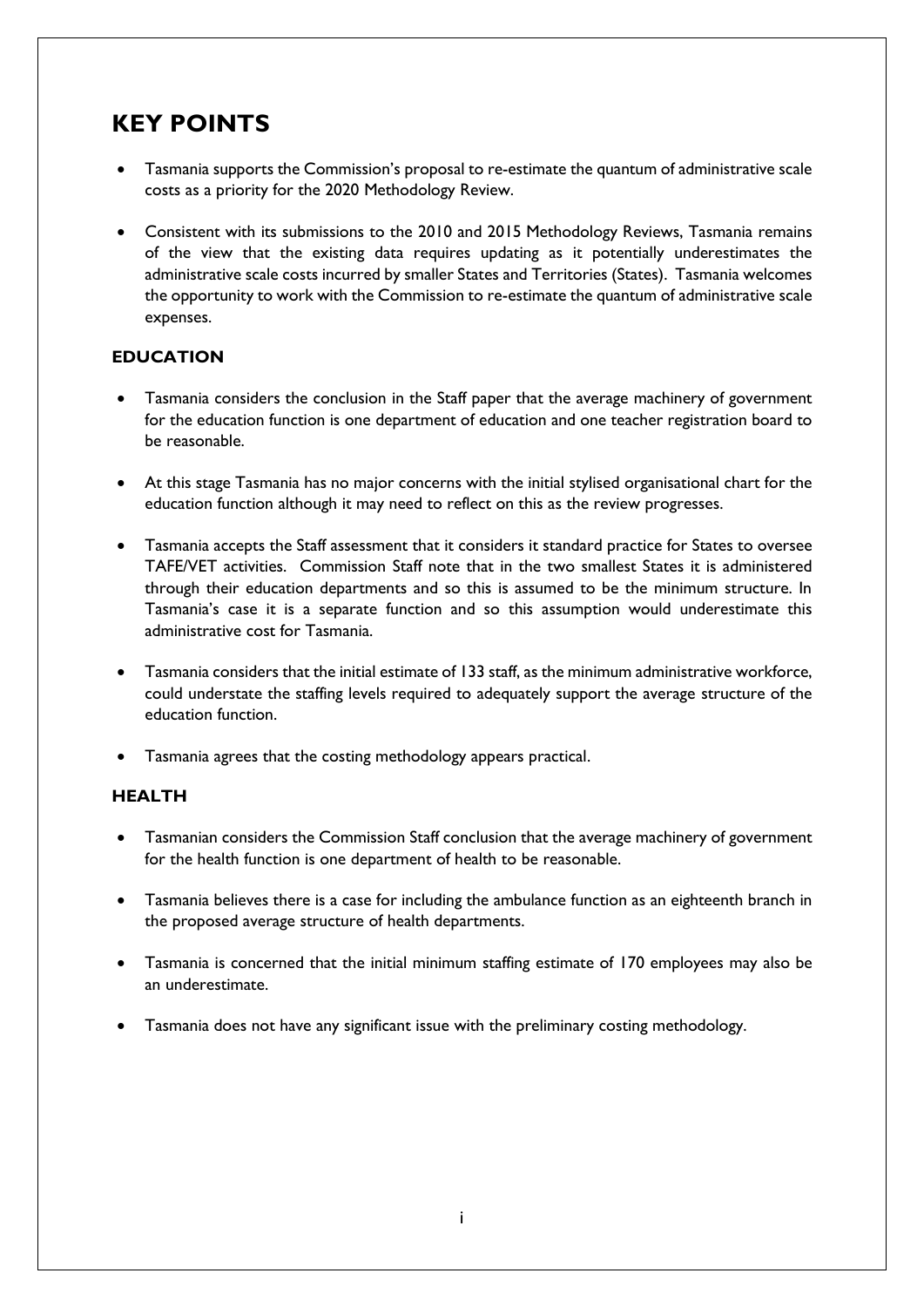## <span id="page-4-0"></span>**KEY POINTS**

- Tasmania supports the Commission's proposal to re-estimate the quantum of administrative scale costs as a priority for the 2020 Methodology Review.
- Consistent with its submissions to the 2010 and 2015 Methodology Reviews, Tasmania remains of the view that the existing data requires updating as it potentially underestimates the administrative scale costs incurred by smaller States and Territories (States). Tasmania welcomes the opportunity to work with the Commission to re-estimate the quantum of administrative scale expenses.

#### **EDUCATION**

- Tasmania considers the conclusion in the Staff paper that the average machinery of government for the education function is one department of education and one teacher registration board to be reasonable.
- At this stage Tasmania has no major concerns with the initial stylised organisational chart for the education function although it may need to reflect on this as the review progresses.
- Tasmania accepts the Staff assessment that it considers it standard practice for States to oversee TAFE/VET activities. Commission Staff note that in the two smallest States it is administered through their education departments and so this is assumed to be the minimum structure. In Tasmania's case it is a separate function and so this assumption would underestimate this administrative cost for Tasmania.
- Tasmania considers that the initial estimate of 133 staff, as the minimum administrative workforce, could understate the staffing levels required to adequately support the average structure of the education function.
- Tasmania agrees that the costing methodology appears practical.

#### **HEALTH**

- Tasmanian considers the Commission Staff conclusion that the average machinery of government for the health function is one department of health to be reasonable.
- Tasmania believes there is a case for including the ambulance function as an eighteenth branch in the proposed average structure of health departments.
- Tasmania is concerned that the initial minimum staffing estimate of 170 employees may also be an underestimate.
- Tasmania does not have any significant issue with the preliminary costing methodology.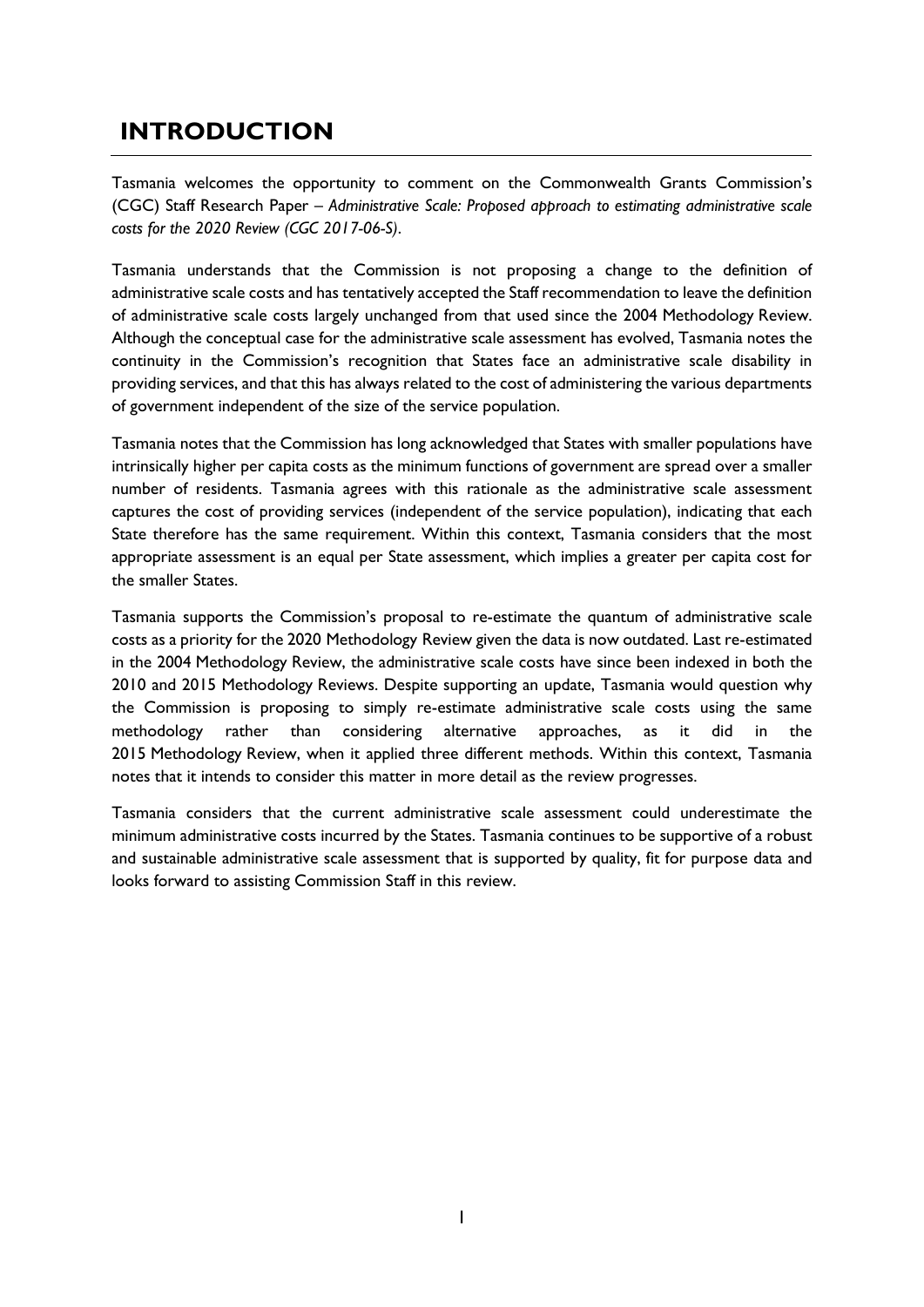### <span id="page-6-0"></span>**INTRODUCTION**

Tasmania welcomes the opportunity to comment on the Commonwealth Grants Commission's (CGC) Staff Research Paper – *Administrative Scale: Proposed approach to estimating administrative scale costs for the 2020 Review (CGC 2017-06-S)*.

Tasmania understands that the Commission is not proposing a change to the definition of administrative scale costs and has tentatively accepted the Staff recommendation to leave the definition of administrative scale costs largely unchanged from that used since the 2004 Methodology Review. Although the conceptual case for the administrative scale assessment has evolved, Tasmania notes the continuity in the Commission's recognition that States face an administrative scale disability in providing services, and that this has always related to the cost of administering the various departments of government independent of the size of the service population.

Tasmania notes that the Commission has long acknowledged that States with smaller populations have intrinsically higher per capita costs as the minimum functions of government are spread over a smaller number of residents. Tasmania agrees with this rationale as the administrative scale assessment captures the cost of providing services (independent of the service population), indicating that each State therefore has the same requirement. Within this context, Tasmania considers that the most appropriate assessment is an equal per State assessment, which implies a greater per capita cost for the smaller States.

Tasmania supports the Commission's proposal to re-estimate the quantum of administrative scale costs as a priority for the 2020 Methodology Review given the data is now outdated. Last re-estimated in the 2004 Methodology Review, the administrative scale costs have since been indexed in both the 2010 and 2015 Methodology Reviews. Despite supporting an update, Tasmania would question why the Commission is proposing to simply re-estimate administrative scale costs using the same methodology rather than considering alternative approaches, as it did in the 2015 Methodology Review, when it applied three different methods. Within this context, Tasmania notes that it intends to consider this matter in more detail as the review progresses.

Tasmania considers that the current administrative scale assessment could underestimate the minimum administrative costs incurred by the States. Tasmania continues to be supportive of a robust and sustainable administrative scale assessment that is supported by quality, fit for purpose data and looks forward to assisting Commission Staff in this review.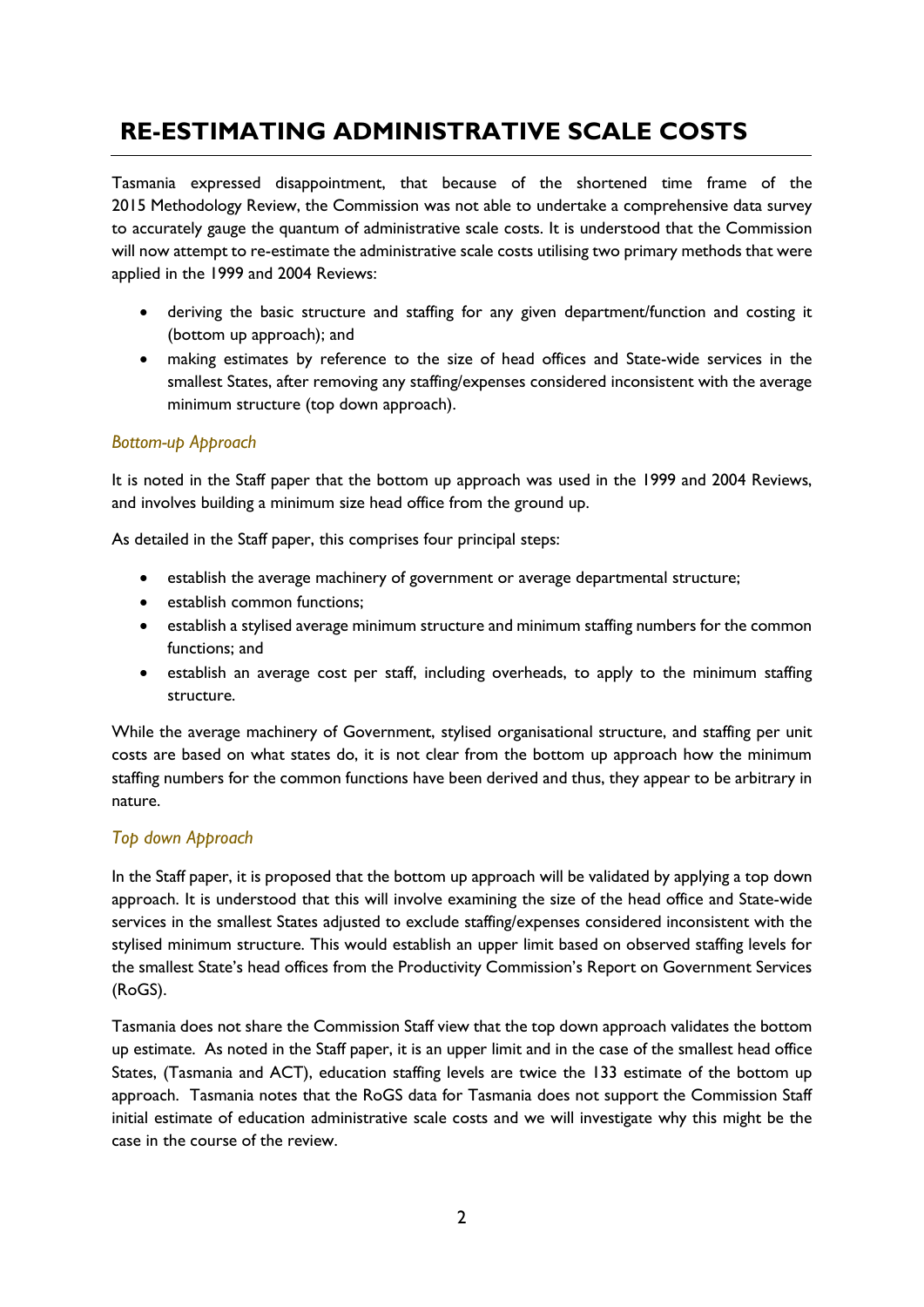# <span id="page-7-0"></span>**RE-ESTIMATING ADMINISTRATIVE SCALE COSTS**

Tasmania expressed disappointment, that because of the shortened time frame of the 2015 Methodology Review, the Commission was not able to undertake a comprehensive data survey to accurately gauge the quantum of administrative scale costs. It is understood that the Commission will now attempt to re-estimate the administrative scale costs utilising two primary methods that were applied in the 1999 and 2004 Reviews:

- deriving the basic structure and staffing for any given department/function and costing it (bottom up approach); and
- making estimates by reference to the size of head offices and State-wide services in the smallest States, after removing any staffing/expenses considered inconsistent with the average minimum structure (top down approach).

#### *Bottom-up Approach*

It is noted in the Staff paper that the bottom up approach was used in the 1999 and 2004 Reviews, and involves building a minimum size head office from the ground up.

As detailed in the Staff paper, this comprises four principal steps:

- establish the average machinery of government or average departmental structure;
- establish common functions;
- establish a stylised average minimum structure and minimum staffing numbers for the common functions; and
- establish an average cost per staff, including overheads, to apply to the minimum staffing structure.

While the average machinery of Government, stylised organisational structure, and staffing per unit costs are based on what states do, it is not clear from the bottom up approach how the minimum staffing numbers for the common functions have been derived and thus, they appear to be arbitrary in nature.

#### *Top down Approach*

In the Staff paper, it is proposed that the bottom up approach will be validated by applying a top down approach. It is understood that this will involve examining the size of the head office and State-wide services in the smallest States adjusted to exclude staffing/expenses considered inconsistent with the stylised minimum structure. This would establish an upper limit based on observed staffing levels for the smallest State's head offices from the Productivity Commission's Report on Government Services (RoGS).

Tasmania does not share the Commission Staff view that the top down approach validates the bottom up estimate. As noted in the Staff paper, it is an upper limit and in the case of the smallest head office States, (Tasmania and ACT), education staffing levels are twice the 133 estimate of the bottom up approach. Tasmania notes that the RoGS data for Tasmania does not support the Commission Staff initial estimate of education administrative scale costs and we will investigate why this might be the case in the course of the review.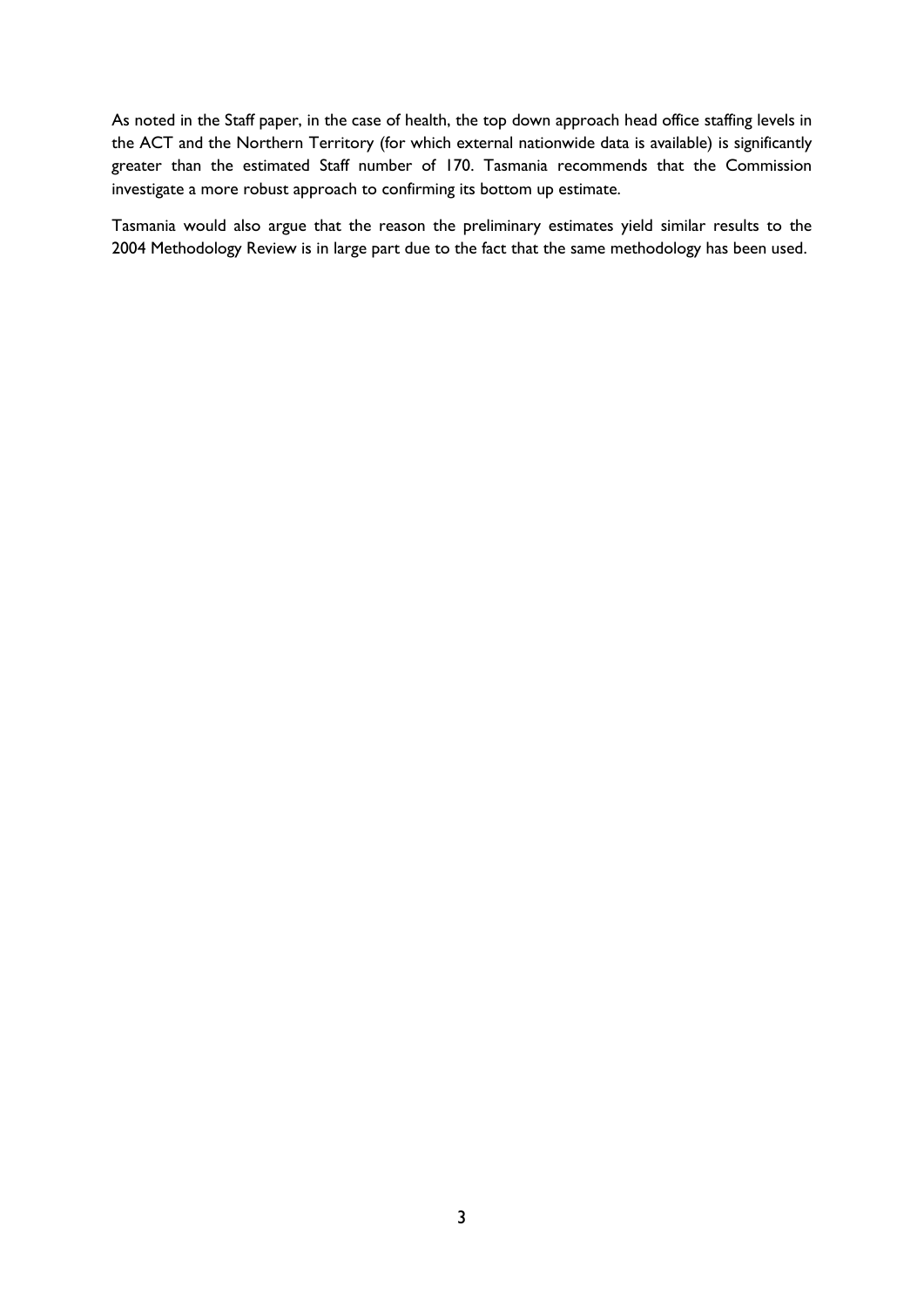As noted in the Staff paper, in the case of health, the top down approach head office staffing levels in the ACT and the Northern Territory (for which external nationwide data is available) is significantly greater than the estimated Staff number of 170. Tasmania recommends that the Commission investigate a more robust approach to confirming its bottom up estimate.

Tasmania would also argue that the reason the preliminary estimates yield similar results to the 2004 Methodology Review is in large part due to the fact that the same methodology has been used.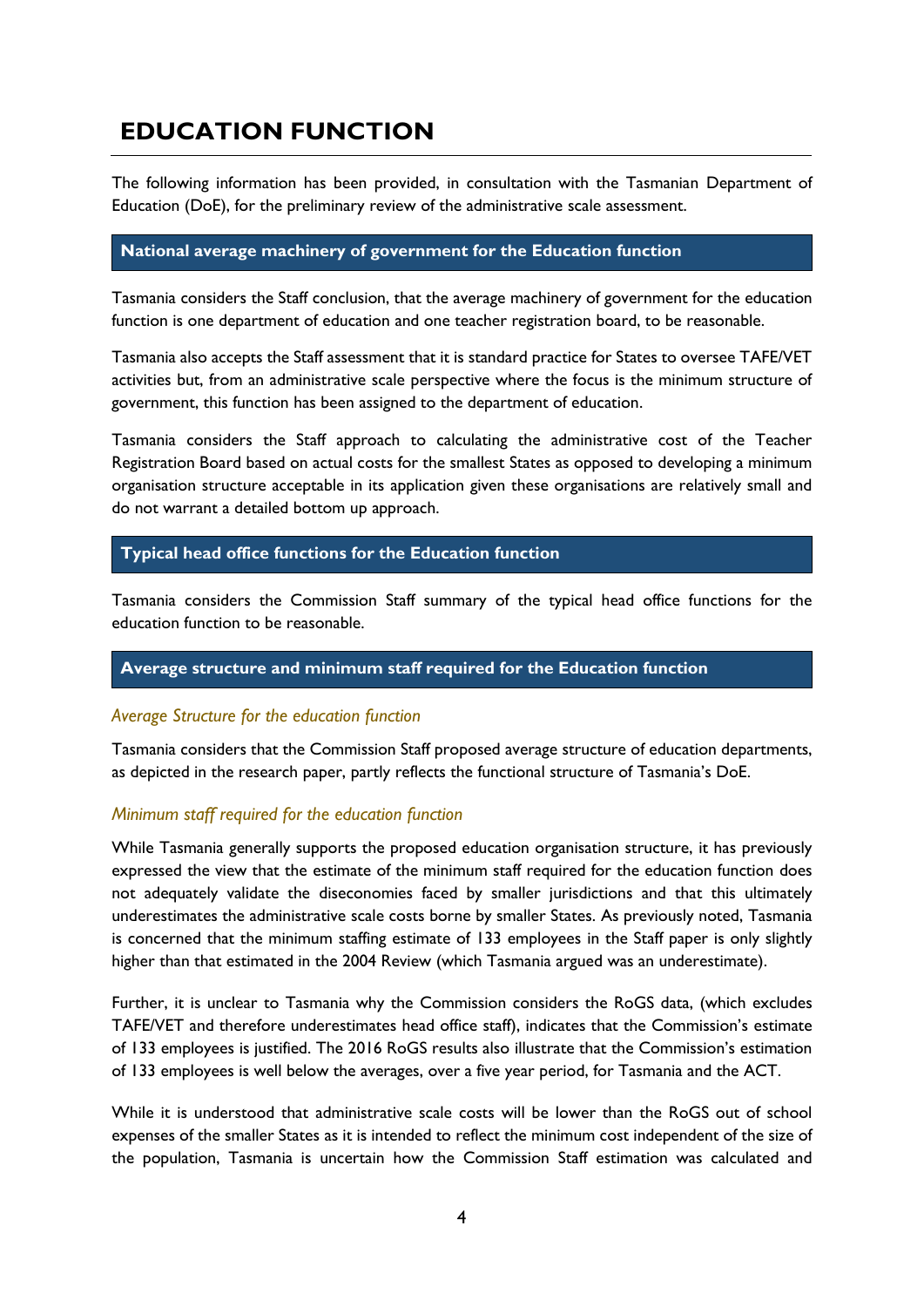## <span id="page-9-0"></span>**EDUCATION FUNCTION**

The following information has been provided, in consultation with the Tasmanian Department of Education (DoE), for the preliminary review of the administrative scale assessment.

#### <span id="page-9-1"></span>**National average machinery of government for the Education function**

Tasmania considers the Staff conclusion, that the average machinery of government for the education function is one department of education and one teacher registration board, to be reasonable.

Tasmania also accepts the Staff assessment that it is standard practice for States to oversee TAFE/VET activities but, from an administrative scale perspective where the focus is the minimum structure of government, this function has been assigned to the department of education.

Tasmania considers the Staff approach to calculating the administrative cost of the Teacher Registration Board based on actual costs for the smallest States as opposed to developing a minimum organisation structure acceptable in its application given these organisations are relatively small and do not warrant a detailed bottom up approach.

#### <span id="page-9-2"></span>**Typical head office functions for the Education function**

Tasmania considers the Commission Staff summary of the typical head office functions for the education function to be reasonable.

#### <span id="page-9-3"></span>**Average structure and minimum staff required for the Education function**

#### *Average Structure for the education function*

Tasmania considers that the Commission Staff proposed average structure of education departments, as depicted in the research paper, partly reflects the functional structure of Tasmania's DoE.

#### *Minimum staff required for the education function*

While Tasmania generally supports the proposed education organisation structure, it has previously expressed the view that the estimate of the minimum staff required for the education function does not adequately validate the diseconomies faced by smaller jurisdictions and that this ultimately underestimates the administrative scale costs borne by smaller States. As previously noted, Tasmania is concerned that the minimum staffing estimate of 133 employees in the Staff paper is only slightly higher than that estimated in the 2004 Review (which Tasmania argued was an underestimate).

Further, it is unclear to Tasmania why the Commission considers the RoGS data, (which excludes TAFE/VET and therefore underestimates head office staff), indicates that the Commission's estimate of 133 employees is justified. The 2016 RoGS results also illustrate that the Commission's estimation of 133 employees is well below the averages, over a five year period, for Tasmania and the ACT.

While it is understood that administrative scale costs will be lower than the RoGS out of school expenses of the smaller States as it is intended to reflect the minimum cost independent of the size of the population, Tasmania is uncertain how the Commission Staff estimation was calculated and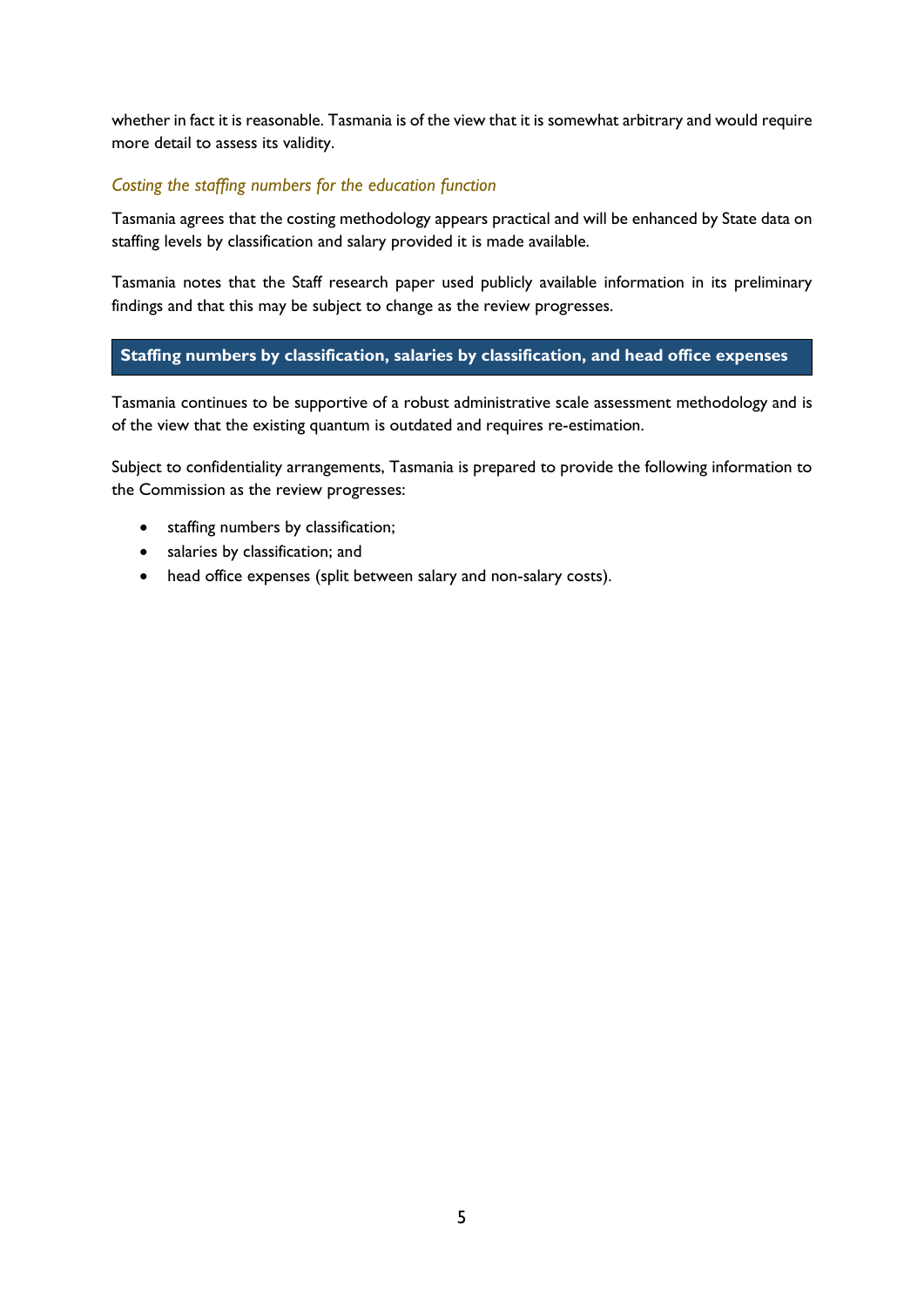whether in fact it is reasonable. Tasmania is of the view that it is somewhat arbitrary and would require more detail to assess its validity.

#### *Costing the staffing numbers for the education function*

Tasmania agrees that the costing methodology appears practical and will be enhanced by State data on staffing levels by classification and salary provided it is made available.

Tasmania notes that the Staff research paper used publicly available information in its preliminary findings and that this may be subject to change as the review progresses.

#### <span id="page-10-0"></span>**Staffing numbers by classification, salaries by classification, and head office expenses**

Tasmania continues to be supportive of a robust administrative scale assessment methodology and is of the view that the existing quantum is outdated and requires re-estimation.

Subject to confidentiality arrangements, Tasmania is prepared to provide the following information to the Commission as the review progresses:

- staffing numbers by classification;
- salaries by classification; and
- head office expenses (split between salary and non-salary costs).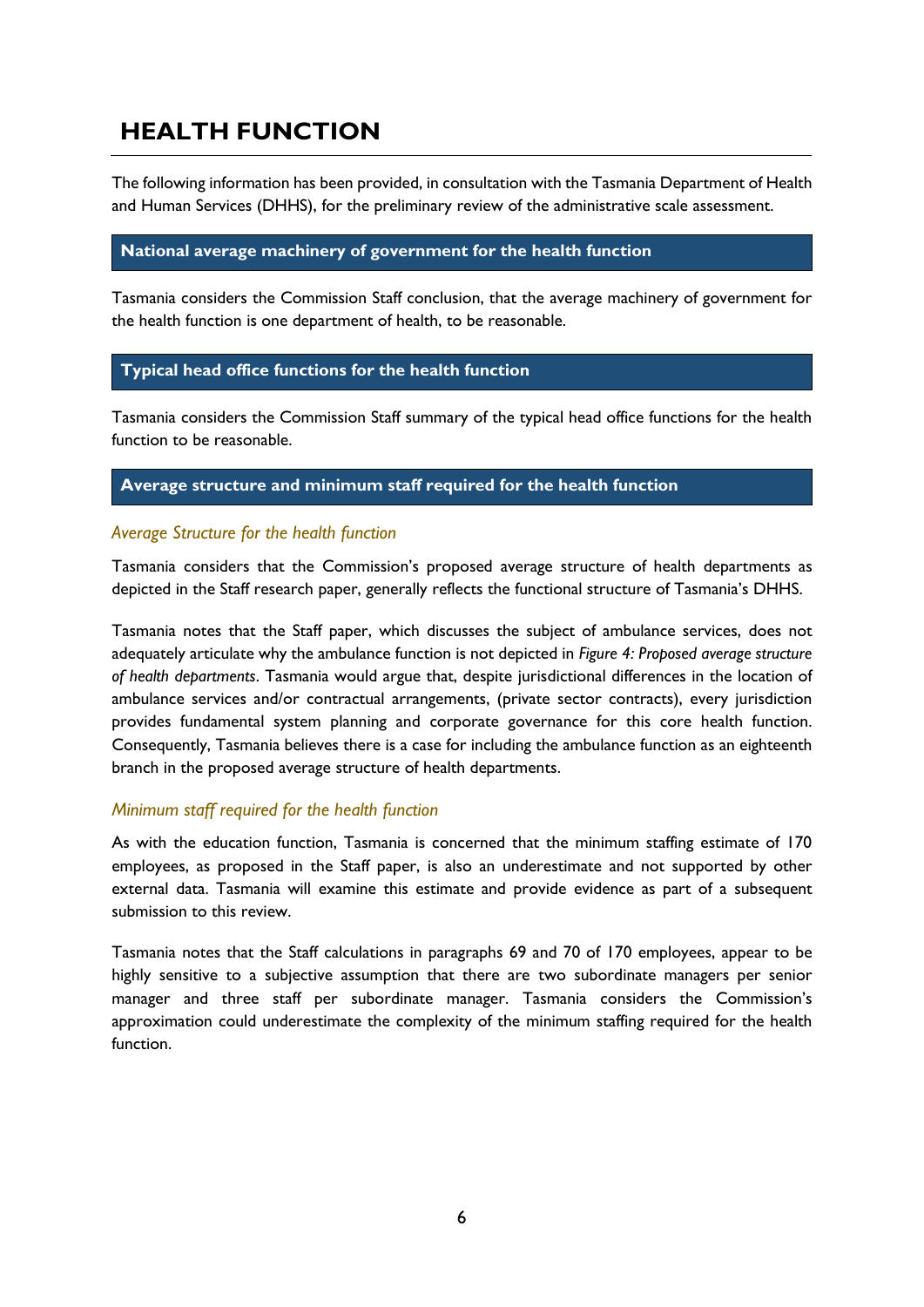## <span id="page-11-0"></span>**HEALTH FUNCTION**

The following information has been provided, in consultation with the Tasmania Department of Health and Human Services (DHHS), for the preliminary review of the administrative scale assessment.

#### <span id="page-11-1"></span>**National average machinery of government for the health function**

Tasmania considers the Commission Staff conclusion, that the average machinery of government for the health function is one department of health, to be reasonable.

#### <span id="page-11-2"></span>**Typical head office functions for the health function**

Tasmania considers the Commission Staff summary of the typical head office functions for the health function to be reasonable.

#### <span id="page-11-3"></span>**Average structure and minimum staff required for the health function**

#### *Average Structure for the health function*

Tasmania considers that the Commission's proposed average structure of health departments as depicted in the Staff research paper, generally reflects the functional structure of Tasmania's DHHS.

Tasmania notes that the Staff paper, which discusses the subject of ambulance services, does not adequately articulate why the ambulance function is not depicted in *Figure 4: Proposed average structure of health departments*. Tasmania would argue that, despite jurisdictional differences in the location of ambulance services and/or contractual arrangements, (private sector contracts), every jurisdiction provides fundamental system planning and corporate governance for this core health function. Consequently, Tasmania believes there is a case for including the ambulance function as an eighteenth branch in the proposed average structure of health departments.

#### *Minimum staff required for the health function*

As with the education function, Tasmania is concerned that the minimum staffing estimate of 170 employees, as proposed in the Staff paper, is also an underestimate and not supported by other external data. Tasmania will examine this estimate and provide evidence as part of a subsequent submission to this review.

Tasmania notes that the Staff calculations in paragraphs 69 and 70 of 170 employees, appear to be highly sensitive to a subjective assumption that there are two subordinate managers per senior manager and three staff per subordinate manager. Tasmania considers the Commission's approximation could underestimate the complexity of the minimum staffing required for the health function.